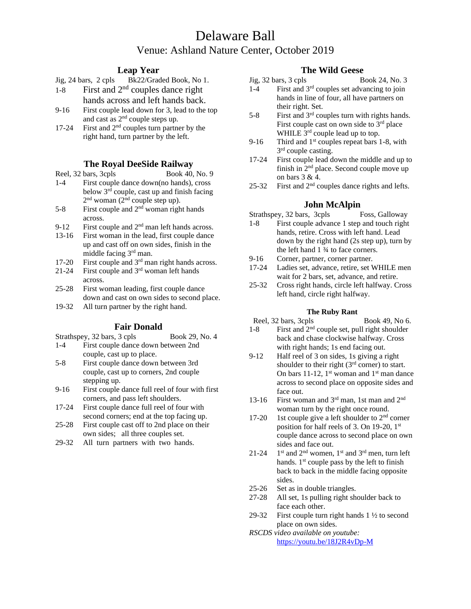# Delaware Ball Venue: Ashland Nature Center, October 2019

## **Leap Year**

- 1-8 First and  $2<sup>nd</sup>$  couples dance right hands across and left hands back.
- 9-16 First couple lead down for 3, lead to the top and cast as 2nd couple steps up.
- 17-24 First and  $2<sup>nd</sup>$  couples turn partner by the right hand, turn partner by the left.

## **The Royal DeeSide Railway**

- Reel, 32 bars, 3cpls Book 40, No. 9 1-4 First couple dance down(no hands), cross below  $3<sup>rd</sup>$  couple, cast up and finish facing  $2<sup>nd</sup>$  woman  $(2<sup>nd</sup>$  couple step up).
- $5-8$  First couple and  $2<sup>nd</sup>$  woman right hands across.
- 9-12 First couple and  $2<sup>nd</sup>$  man left hands across.
- 13-16 First woman in the lead, first couple dance up and cast off on own sides, finish in the middle facing 3rd man.
- 17-20 First couple and 3rd man right hands across.
- 21-24 First couple and 3rd woman left hands across.
- 25-28 First woman leading, first couple dance down and cast on own sides to second place.
- 19-32 All turn partner by the right hand.

## **Fair Donald**

- Strathspey, 32 bars, 3 cpls Book 29, No. 4 1-4 First couple dance down between 2nd
- couple, cast up to place.
- 5-8 First couple dance down between 3rd couple, cast up to corners, 2nd couple stepping up.
- 9-16 First couple dance full reel of four with first corners, and pass left shoulders.
- 17-24 First couple dance full reel of four with second corners; end at the top facing up.
- 25-28 First couple cast off to 2nd place on their own sides; all three couples set.
- 29-32 All turn partners with two hands.

## **The Wild Geese**

- Jig, 32 bars, 3 cpls Book 24, No. 3 1-4 First and 3rd couples set advancing to join hands in line of four, all have partners on their right. Set.
- $5-8$  First and  $3<sup>rd</sup>$  couples turn with rights hands. First couple cast on own side to  $3<sup>rd</sup>$  place WHILE  $3^{rd}$  couple lead up to top.
- 9-16 Third and  $1<sup>st</sup>$  couples repeat bars 1-8, with 3<sup>rd</sup> couple casting.
- 17-24 First couple lead down the middle and up to finish in 2nd place. Second couple move up on bars 3 & 4.
- 25-32 First and  $2<sup>nd</sup>$  couples dance rights and lefts.

## **John McAlpin**

Strathspey, 32 bars, 3cpls Foss, Galloway

- 1-8 First couple advance 1 step and touch right hands, retire. Cross with left hand. Lead down by the right hand (2s step up), turn by the left hand 1 ¾ to face corners.
- 9-16 Corner, partner, corner partner.
- 17-24 Ladies set, advance, retire, set WHILE men wait for 2 bars, set, advance, and retire.
- 25-32 Cross right hands, circle left halfway. Cross left hand, circle right halfway.

### **The Ruby Rant**

- Reel, 32 bars, 3cpls Book 49, No 6.
- 1-8 First and  $2<sup>nd</sup>$  couple set, pull right shoulder back and chase clockwise halfway. Cross with right hands; 1s end facing out.
- 9-12 Half reel of 3 on sides, 1s giving a right shoulder to their right  $(3<sup>rd</sup> corner)$  to start. On bars 11-12,  $1^{\text{st}}$  woman and  $1^{\text{st}}$  man dance across to second place on opposite sides and face out.
- 13-16 First woman and  $3<sup>rd</sup>$  man, 1st man and  $2<sup>nd</sup>$ woman turn by the right once round.
- 17-20 1st couple give a left shoulder to  $2<sup>nd</sup>$  corner position for half reels of 3. On 19-20, 1st couple dance across to second place on own sides and face out.
- $21 24$  $1<sup>st</sup>$  and  $2<sup>nd</sup>$  women,  $1<sup>st</sup>$  and  $3<sup>rd</sup>$  men, turn left hands.  $1<sup>st</sup>$  couple pass by the left to finish back to back in the middle facing opposite sides.
- 25-26 Set as in double triangles.
- 27-28 All set, 1s pulling right shoulder back to face each other.
- 29-32 First couple turn right hands  $1\frac{1}{2}$  to second place on own sides.
- *RSCDS video available on youtube:*  <https://youtu.be/18J2R4vDp-M>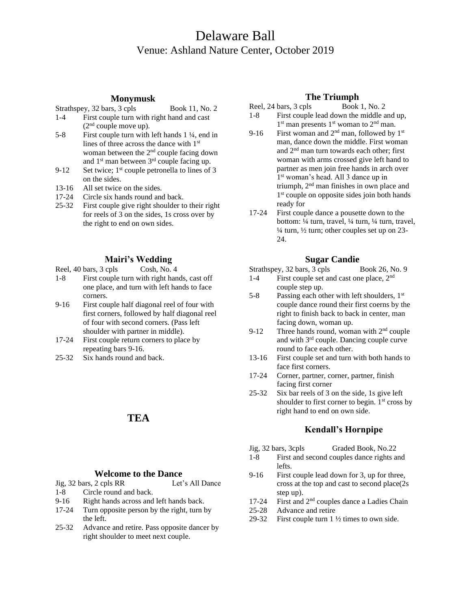# Delaware Ball Venue: Ashland Nature Center, October 2019

### **Monymusk**

- Strathspey, 32 bars, 3 cpls Book 11, No. 2
- 1-4 First couple turn with right hand and cast  $(2<sup>nd</sup> couple move up).$
- 5-8 First couple turn with left hands 1 ¼, end in lines of three across the dance with 1st woman between the 2<sup>nd</sup> couple facing down and  $1<sup>st</sup>$  man between  $3<sup>rd</sup>$  couple facing up.
- 9-12 Set twice;  $1<sup>st</sup>$  couple petronella to lines of 3 on the sides.
- 13-16 All set twice on the sides.
- 17-24 Circle six hands round and back.
- 25-32 First couple give right shoulder to their right for reels of 3 on the sides, 1s cross over by the right to end on own sides.

## **Mairi's Wedding**

Reel, 40 bars, 3 cpls Cosh, No. 4

- 1-8 First couple turn with right hands, cast off one place, and turn with left hands to face corners.
- 9-16 First couple half diagonal reel of four with first corners, followed by half diagonal reel of four with second corners. (Pass left shoulder with partner in middle).
- 17-24 First couple return corners to place by repeating bars 9-16.
- 25-32 Six hands round and back.

# **TEA**

#### **Welcome to the Dance**

Jig, 32 bars, 2 cpls RR Let's All Dance 1-8 Circle round and back.

- 9-16 Right hands across and left hands back.
- 17-24 Turn opposite person by the right, turn by the left.
- 25-32 Advance and retire. Pass opposite dancer by right shoulder to meet next couple.

## **The Triumph**

- Reel,  $24 \text{ bars}, 3 \text{ cps}$  Book 1, No. 2 1-8 First couple lead down the middle and up, 1<sup>st</sup> man presents 1<sup>st</sup> woman to 2<sup>nd</sup> man.
- 9-16 First woman and  $2<sup>nd</sup>$  man, followed by 1<sup>st</sup> man, dance down the middle. First woman and 2nd man turn towards each other; first woman with arms crossed give left hand to partner as men join free hands in arch over 1 st woman's head. All 3 dance up in triumph, 2nd man finishes in own place and 1 st couple on opposite sides join both hands ready for
- 17-24 First couple dance a pousette down to the bottom: ¼ turn, travel, ¼ turn, ¼ turn, travel,  $\frac{1}{4}$  turn,  $\frac{1}{2}$  turn; other couples set up on 23-24.

## **Sugar Candie**

Strathspey, 32 bars, 3 cpls Book 26, No. 9

- 1-4 First couple set and cast one place, 2<sup>nd</sup> couple step up.
- 5-8 Passing each other with left shoulders,  $1<sup>st</sup>$ couple dance round their first coerns by the right to finish back to back in center, man facing down, woman up.
- 9-12 Three hands round, woman with  $2<sup>nd</sup>$  couple and with 3rd couple. Dancing couple curve round to face each other.
- 13-16 First couple set and turn with both hands to face first corners.
- 17-24 Corner, partner, corner, partner, finish facing first corner
- 25-32 Six bar reels of 3 on the side, 1s give left shoulder to first corner to begin.  $1<sup>st</sup>$  cross by right hand to end on own side.

## **Kendall's Hornpipe**

- Jig, 32 bars, 3cpls Graded Book, No.22
- 1-8 First and second couples dance rights and lefts.
- 9-16 First couple lead down for 3, up for three, cross at the top and cast to second place(2s step up).
- 17-24 First and 2nd couples dance a Ladies Chain
- 25-28 Advance and retire
- 29-32 First couple turn 1 ½ times to own side.